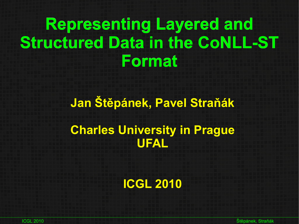# **Representing Layered and Structured Data in the CoNLL-ST Format**

# **Jan Štěpánek, Pavel Straňák Charles University in Prague UFAL**

**ICGL 2010**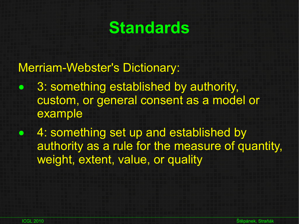### **Standards**

#### Merriam-Webster's Dictionary:

- 3: something established by authority, custom, or general consent as a model or example
- 4: something set up and established by authority as a rule for the measure of quantity, weight, extent, value, or quality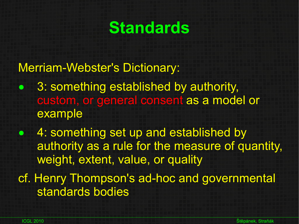### **Standards**

#### Merriam-Webster's Dictionary:

- 3: something established by authority, custom, or general consent as a model or example
- 4: something set up and established by authority as a rule for the measure of quantity, weight, extent, value, or quality
- cf. Henry Thompson's ad-hoc and governmental standards bodies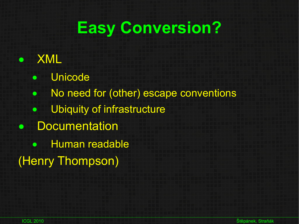## **Easy Conversion?**

### ● XML

- Unicode
- No need for (other) escape conventions
- Ubiquity of infrastructure
- Documentation
	- Human readable
- (Henry Thompson)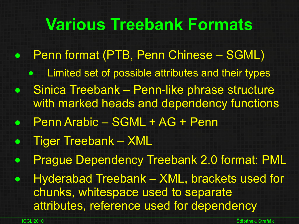### **Various Treebank Formats**

- Penn format (PTB, Penn Chinese SGML)
	- Limited set of possible attributes and their types
- **Sinica Treebank Penn-like phrase structure** with marked heads and dependency functions
- Penn Arabic SGML + AG + Penn
- Tiger Treebank XML
- **Prague Dependency Treebank 2.0 format: PML**
- Hyderabad Treebank XML, brackets used for chunks, whitespace used to separate attributes, reference used for dependency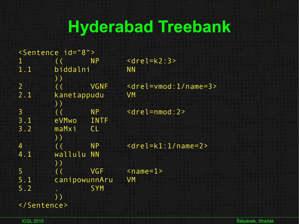## **Hyderabad Treebank**

| <sentence id="8"></sentence> |               |             |                                           |  |  |  |  |
|------------------------------|---------------|-------------|-------------------------------------------|--|--|--|--|
| $\mathbf 1$                  |               | <b>NP</b>   | $\alpha$ rel=k2:3>                        |  |  |  |  |
| 1.1                          | biddalni      |             | <b>NN</b>                                 |  |  |  |  |
|                              | ))            |             |                                           |  |  |  |  |
| $\overline{2}$               |               | <b>VGNF</b> | $\le$ drel=vmod:1/name=3>                 |  |  |  |  |
| 2.1                          | kanetappudu   |             | VM                                        |  |  |  |  |
|                              | $)$ )         |             |                                           |  |  |  |  |
| $\overline{3}$               |               | <b>NP</b>   | $<$ drel=nmod:2>                          |  |  |  |  |
| 3.1                          | eVMwo         | <b>INTF</b> |                                           |  |  |  |  |
| 3.2                          | maMxi         | CL          |                                           |  |  |  |  |
|                              | $)$ )         |             |                                           |  |  |  |  |
| $\overline{4}$               |               | <b>NP</b>   | $\alpha$ <drel=k1:1 name="2"></drel=k1:1> |  |  |  |  |
| 4.1                          | wallulu       | <b>NN</b>   |                                           |  |  |  |  |
|                              | $)$ )         |             |                                           |  |  |  |  |
| 5                            |               | <b>VGF</b>  | $<$ name=1>                               |  |  |  |  |
| 5.1                          | canipowunnAru |             | <b>VM</b>                                 |  |  |  |  |
| 5.2                          |               | <b>SYM</b>  |                                           |  |  |  |  |
|                              | ) )           |             |                                           |  |  |  |  |
|                              |               |             |                                           |  |  |  |  |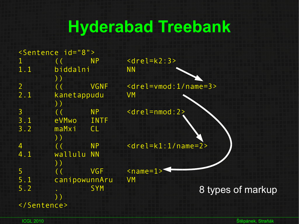## **Hyderabad Treebank**

|                | <sentence id="8"></sentence> |             |                                           |                   |  |  |  |
|----------------|------------------------------|-------------|-------------------------------------------|-------------------|--|--|--|
| $\mathbf 1$    |                              | <b>NP</b>   | $<$ drel=k2:3>                            |                   |  |  |  |
| 1.1            | biddalni                     |             | <b>NN</b>                                 |                   |  |  |  |
|                | ))                           |             |                                           |                   |  |  |  |
| $\overline{2}$ |                              | <b>VGNF</b> | $\le$ drel=vmod:1/name=3>                 |                   |  |  |  |
| 2.1            | kanetappudu                  |             | VM                                        |                   |  |  |  |
|                | $)$ )                        |             |                                           |                   |  |  |  |
| $\overline{3}$ |                              | <b>NP</b>   | <drel=nmod:2></drel=nmod:2>               |                   |  |  |  |
| 3.1            | eVMwo                        | <b>INTF</b> |                                           |                   |  |  |  |
| 3.2            | maMxi                        | CL          |                                           |                   |  |  |  |
|                | ))                           |             |                                           |                   |  |  |  |
| $\overline{4}$ |                              | <b>NP</b>   | $\alpha$ <drel=k1:1 name="2"></drel=k1:1> |                   |  |  |  |
| 4.1            | wallulu NN                   |             |                                           |                   |  |  |  |
|                | ) )                          |             |                                           |                   |  |  |  |
| 5              |                              | <b>VGF</b>  | $<$ name=1> $5$                           |                   |  |  |  |
| 5.1            | canipowunnAru                |             | <b>VM</b>                                 |                   |  |  |  |
| 5.2            |                              | <b>SYM</b>  |                                           | 8 types of markup |  |  |  |
|                |                              |             |                                           |                   |  |  |  |
|                |                              |             |                                           |                   |  |  |  |
|                |                              |             |                                           |                   |  |  |  |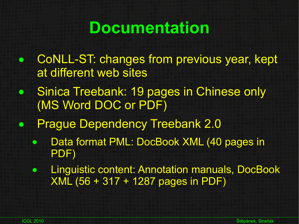### **Documentation**

- CoNLL-ST: changes from previous year, kept at different web sites
- Sinica Treebank: 19 pages in Chinese only (MS Word DOC or PDF)
- Prague Dependency Treebank 2.0
	- Data format PML: DocBook XML (40 pages in PDF)
	- **Linguistic content: Annotation manuals, DocBook** XML (56 + 317 + 1287 pages in PDF)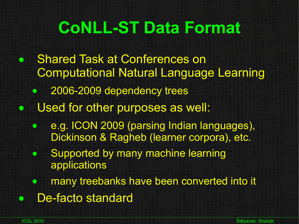# **CoNLL-ST Data Format**

- Shared Task at Conferences on Computational Natural Language Learning 2006-2009 dependency trees • Used for other purposes as well: • e.g. ICON 2009 (parsing Indian languages), Dickinson & Ragheb (learner corpora), etc. • Supported by many machine learning applications **• many treebanks have been converted into it** 
	- De-facto standard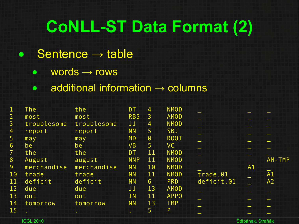# **CoNLL-ST Data Format (2)**

#### $\bullet$  Sentence  $\rightarrow$  table

- $\bullet$  words  $\rightarrow$  rows
- $\bullet$  additional information  $\rightarrow$  columns

| $\mathbf 1$                                 | <b>The</b>  | the         | <b>DT</b>  | 4                     | <b>NMOD</b> |            |    |        |
|---------------------------------------------|-------------|-------------|------------|-----------------------|-------------|------------|----|--------|
| $\mathsf{Z}^{\scriptscriptstyle\mathsf{I}}$ | most        | most        | <b>RBS</b> | 3                     | <b>AMOD</b> |            |    |        |
| $\overline{3}$                              | troublesome | troublesome | JJ         | $\overline{4}$        | <b>NMOD</b> |            |    |        |
| 4                                           | report      | report      | <b>NN</b>  | 5                     | SBJ         |            |    |        |
| 5                                           | may         | may         | <b>MD</b>  | $\boldsymbol{\Theta}$ | <b>ROOT</b> |            |    |        |
| $6\overline{6}$                             | be          | be          | <b>VB</b>  | 5.                    | VC.         |            |    |        |
|                                             | the         | the         | <b>DT</b>  | 11                    | <b>NMOD</b> |            |    |        |
| 8                                           | August      | august      | <b>NNP</b> | 11                    | <b>NMOD</b> |            |    | AM-TMP |
| 9 <sup>°</sup>                              | merchandise | merchandise | <b>NN</b>  | 10                    | <b>NMOD</b> |            | A1 |        |
| 10                                          | trade       | trade       | <b>NN</b>  | 11                    | <b>NMOD</b> | trade.01   |    | A1     |
| 11                                          | deficit     | deficit     | <b>NN</b>  | 6                     | <b>PRD</b>  | deficit.01 |    | A2     |
| 12                                          | due         | due         | JJ         | 13                    | <b>AMOD</b> |            |    |        |
| 13                                          | out         | out         | <b>IN</b>  | 11                    | <b>APPO</b> |            |    |        |
| 14                                          | tomorrow    | tomorrow    | <b>NN</b>  | 13                    | <b>TMP</b>  |            |    |        |
| 15                                          |             |             |            | 5                     | P           |            |    |        |
|                                             |             | $\bullet$   | $\bullet$  |                       |             |            |    |        |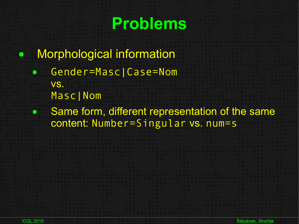## **Problems**

- Morphological information
	- Gender=Masc|Case=Nom vs. Masc|Nom
	- Same form, different representation of the same content: Number=Singular vs. num=s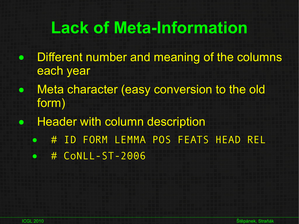# **Lack of Meta-Information**

- Different number and meaning of the columns each year
- Meta character (easy conversion to the old form)
- Header with column description
	- # ID FORM LEMMA POS FEATS HEAD REL
	- # CoNLL-ST-2006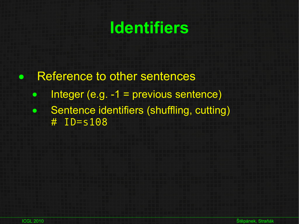## **Identifiers**

• Reference to other sentences

- $\bullet$  Integer (e.g. -1 = previous sentence)
- Sentence identifiers (shuffling, cutting) # ID=s108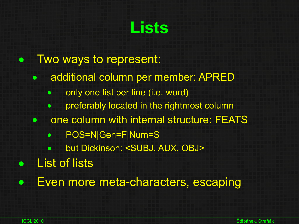### **Lists**

- Two ways to represent:
	- additional column per member: APRED
		- only one list per line (i.e. word)
		- preferably located in the rightmost column
	- one column with internal structure: FEATS
		- POS=N|Gen=F|Num=S
			- but Dickinson: <SUBJ, AUX, OBJ>
- **List of lists**
- Even more meta-characters, escaping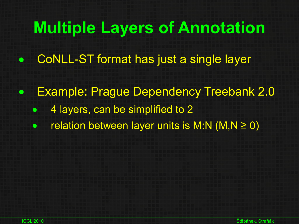### **Multiple Layers of Annotation**

- CoNLL-ST format has just a single layer
- Example: Prague Dependency Treebank 2.0 • 4 layers, can be simplified to 2  $\bullet$  relation between layer units is M:N (M,N  $\geq$  0)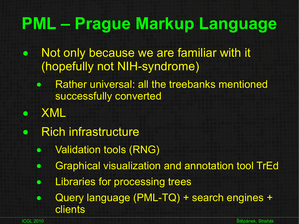# **PML – Prague Markup Language**

- Not only because we are familiar with it (hopefully not NIH-syndrome)
	- Rather universal: all the treebanks mentioned successfully converted
	- XML
- **Rich infrastructure** 
	- Validation tools (RNG)
	- Graphical visualization and annotation tool TrEd
	- **•** Libraries for processing trees
	- Query language (PML-TQ) + search engines + clients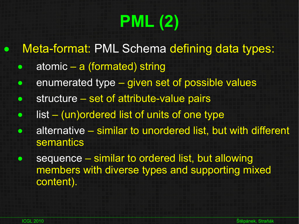# **PML (2)**

- Meta-format: PML Schema defining data types:
	- atomic a (formated) string
	- enumerated type given set of possible values
	- structure set of attribute-value pairs
	- list (un) ordered list of units of one type
	- alternative similar to unordered list, but with different semantics
	- sequence similar to ordered list, but allowing members with diverse types and supporting mixed content).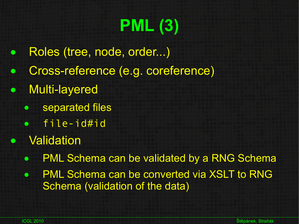# **PML (3)**

- Roles (tree, node, order...)
- Cross-reference (e.g. coreference)
- Multi-layered
	- separated files
	- file-id#id
- **Validation** 
	- PML Schema can be validated by a RNG Schema
	- PML Schema can be converted via XSLT to RNG Schema (validation of the data)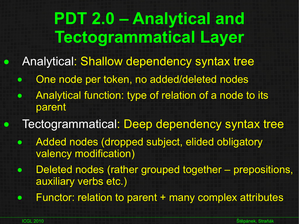# **PDT 2.0 – Analytical and Tectogrammatical Layer**

Analytical: Shallow dependency syntax tree

- One node per token, no added/deleted nodes
- Analytical function: type of relation of a node to its parent
- Tectogrammatical: Deep dependency syntax tree
	- Added nodes (dropped subject, elided obligatory valency modification)
	- Deleted nodes (rather grouped together prepositions, auxiliary verbs etc.)
	- Functor: relation to parent + many complex attributes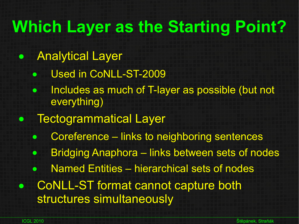## **Which Layer as the Starting Point?**

- Analytical Layer
	- Used in CoNLL-ST-2009
	- Includes as much of T-layer as possible (but not everything)
- Tectogrammatical Layer
	- Coreference links to neighboring sentences
	- Bridging Anaphora links between sets of nodes
	- Named Entities hierarchical sets of nodes
- CoNLL-ST format cannot capture both structures simultaneously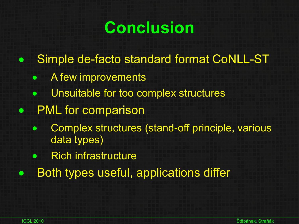## **Conclusion**

- Simple de-facto standard format CoNLL-ST
	- A few improvements
	- Unsuitable for too complex structures
- PML for comparison
	- Complex structures (stand-off principle, various data types)
	- Rich infrastructure
- Both types useful, applications differ